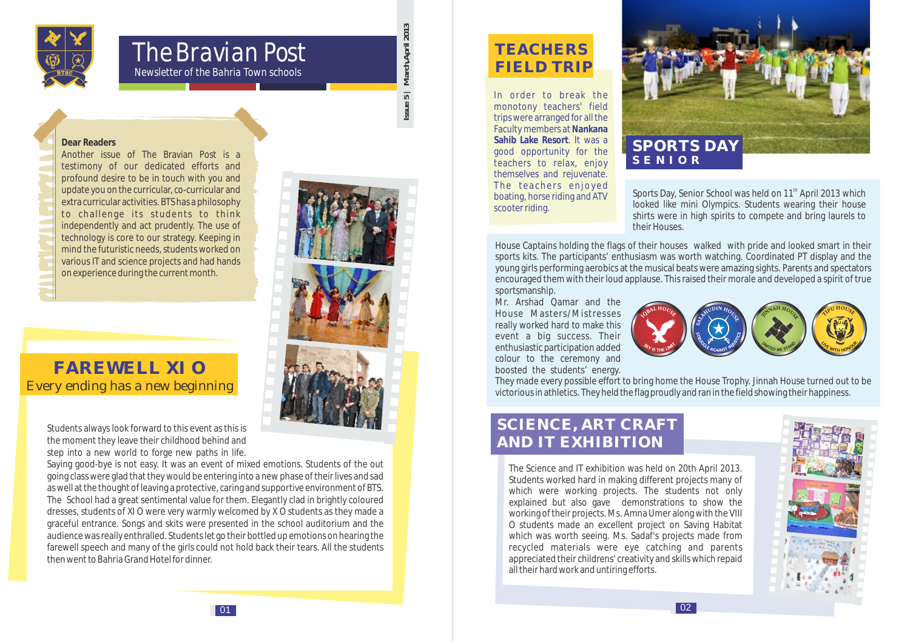

# The Bravian Post

*Newsletter of the Bahria Town schools*

#### **Dear Readers**

Another issue of The Bravian Post is a testimony of our dedicated efforts and profound desire to be in touch with you and update you on the curricular, co-curricular and extra curricular activities. BTS has a philosophy to challenge its students to think independently and act prudently. The use of technology is core to our strategy. Keeping in mind the futuristic needs, students worked on various IT and science projects and had hands on experience during the current month.

# **FAREWELL XI O** Every ending has a new beginning

Students always look forward to this event as this is the moment they leave their childhood behind and step into a new world to forge new paths in life.

Saying good-bye is not easy. It was an event of mixed emotions. Students of the out going class were glad that they would be entering into a new phase of their lives and sad as well at the thought of leaving a protective, caring and supportive environment of BTS. The School had a great sentimental value for them. Elegantly clad in brightly coloured dresses, students of XI O were very warmly welcomed by X O students as they made a graceful entrance. Songs and skits were presented in the school auditorium and the audience was really enthralled. Students let go their bottled up emotions on hearing the farewell speech and many of the girls could not hold back their tears. All the students then went to Bahria Grand Hotel for dinner.

# **Issue 5 | March,April 2013**  Issue!

| March, April 2013

 $\overline{5}$ 



# **TEACHERS FIELD TRIP**

In order to break the monotony teachers' field trips were arranged for all the Faculty members at **Nankana Sahib Lake Resort**. It was a good opportunity for the teachers to relax, enjoy themselves and rejuvenate. The teachers enjoyed boating, horse riding and ATV scooter riding.



Sports Day, Senior School was held on 11<sup>th</sup> April 2013 which looked like mini Olympics. Students wearing their house shirts were in high spirits to compete and bring laurels to their Houses.

House Captains holding the flags of their houses walked with pride and looked smart in their sports kits. The participants' enthusiasm was worth watching. Coordinated PT display and the young girls performing aerobics at the musical beats were amazing sights. Parents and spectators encouraged them with their loud applause. This raised their morale and developed a spirit of true sportsmanship.

Mr. Arshad Qamar and the House Masters/Mistresses really worked hard to make this event a big success. Their enthusiastic participation added colour to the ceremony and boosted the students' energy.



They made every possible effort to bring home the House Trophy. Jinnah House turned out to be victorious in athletics. They held the flag proudly and ran in the field showing their happiness.

# **SCIENCE, ART CRAFT AND IT EXHIBITION**

The Science and IT exhibition was held on 20th April 2013. Students worked hard in making different projects many of which were working projects. The students not only explained but also gave demonstrations to show the working of their projects. Ms. Amna Umer along with the VIII O students made an excellent project on Saving Habitat which was worth seeing. Ms. Sadaf's projects made from recycled materials were eye catching and parents appreciated their childrens' creativity and skills which repaid all their hard work and untiring efforts.